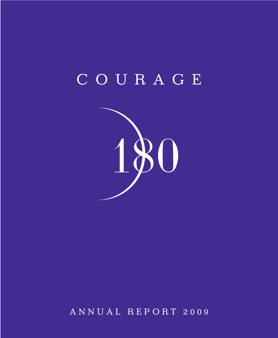# COURAGE



ANNUAL REPORT 2009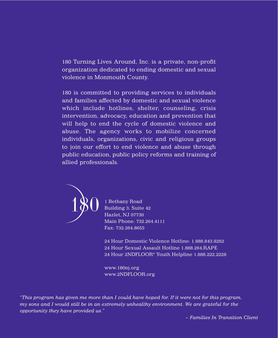180 Turning Lives Around, Inc. is a private, non-profit organization dedicated to ending domestic and sexual violence in Monmouth County.

180 is committed to providing services to individuals and families affected by domestic and sexual violence which include hotlines, shelter, counseling, crisis intervention, advocacy, education and prevention that will help to end the cycle of domestic violence and abuse. The agency works to mobilize concerned individuals, organizations, civic and religious groups to join our effort to end violence and abuse through public education, public policy reforms and training of allied professionals.



1 Bethany Road Building 3, Suite 42 Hazlet, NJ 07730 Main Phone: 732.264.4111 Fax: 732.264.8655

24 Hour Domestic Violence Hotline: 1.888.843.9262 24 Hour Sexual Assault Hotline 1.888.264.RAPE 24 Hour 2NDFLOOR® Youth Helpline 1.888.222.2228

www.180nj.org www.2NDFLOOR.org

*"This program has given me more than I could have hoped for. If it were not for this program, my sons and I would still be in an extremely unhealthy environment. We are grateful for the opportunity they have provided us."*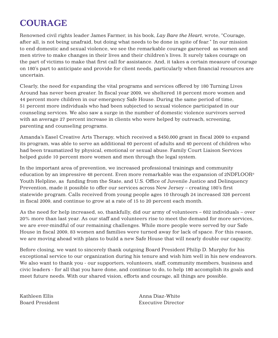# **COURAGE**

Renowned civil rights leader James Farmer, in his book, *Lay Bare the Heart*, wrote, "Courage, after all, is not being unafraid, but doing what needs to be done in spite of fear." In our mission to end domestic and sexual violence, we see the remarkable courage garnered as women and men strive to make changes in their lives and their children's lives. It surely takes courage on the part of victims to make that first call for assistance. And, it takes a certain measure of courage on 180's part to anticipate and provide for client needs, particularly when financial resources are uncertain.

Clearly, the need for expanding the vital programs and services offered by 180 Turning Lives Around has never been greater. In fiscal year 2009, we sheltered 18 percent more women and 44 percent more children in our emergency Safe House. During the same period of time, 51 percent more individuals who had been subjected to sexual violence participated in our counseling services. We also saw a surge in the number of domestic violence survivors served with an average 27 percent increase in clients who were helped by outreach, screening, parenting and counseling programs.

Amanda's Easel Creative Arts Therapy, which received a \$450,000 grant in fiscal 2009 to expand its program, was able to serve an additional 60 percent of adults and 40 percent of children who had been traumatized by physical, emotional or sexual abuse. Family Court Liaison Services helped guide 10 percent more women and men through the legal system.

In the important area of prevention, we increased professional trainings and community education by an impressive 48 percent. Even more remarkable was the expansion of 2NDFLOOR® Youth Helpline, as funding from the State, and U.S. Office of Juvenile Justice and Delinquency Prevention, made it possible to offer our services across New Jersey – creating 180's first statewide program. Calls received from young people ages 10 through 24 increased 326 percent in fiscal 2009, and continue to grow at a rate of 15 to 20 percent each month.

As the need for help increased, so, thankfully, did our army of volunteers – 602 individuals – over 20% more than last year. As our staff and volunteers rise to meet the demand for more services, we are ever-mindful of our remaining challenges. While more people were served by our Safe House in fiscal 2009, 83 women and families were turned away for lack of space. For this reason, we are moving ahead with plans to build a new Safe House that will nearly double our capacity.

Before closing, we want to sincerely thank outgoing Board President Philip D. Murphy for his exceptional service to our organization during his tenure and wish him well in his new endeavors. We also want to thank you - our supporters, volunteers, staff, community members, business and civic leaders - for all that you have done, and continue to do, to help 180 accomplish its goals and meet future needs. With our shared vision, efforts and courage, all things are possible.

Kathleen Ellis Anna Diaz-White Board President Executive Director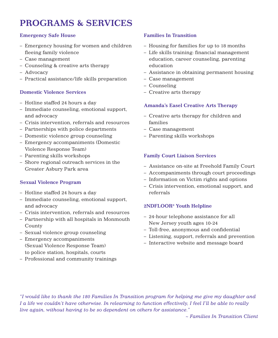# **PROGRAMS & SERVICES**

### **Emergency Safe House**

- Emergency housing for women and children fleeing family violence
- Case management
- Counseling & creative arts therapy
- Advocacy
- Practical assistance/life skills preparation

#### **Domestic Violence Services**

- Hotline staffed 24 hours a day
- Immediate counseling, emotional support, and advocacy
- Crisis intervention, referrals and resources
- Partnerships with police departments
- Domestic violence group counseling
- Emergency accompaniments (Domestic Violence Response Team)
- Parenting skills workshops
- Shore regional outreach services in the Greater Asbury Park area

#### **Sexual Violence Program**

- Hotline staffed 24 hours a day
- Immediate counseling, emotional support, and advocacy
- Crisis intervention, referrals and resources
- Partnership with all hospitals in Monmouth County
- Sexual violence group counseling
- Emergency accompaniments (Sexual Violence Response Team) to police station, hospitals, courts
- Professional and community trainings

### **Families In Transition**

- Housing for families for up to 18 months
- Life skills training: financial management education, career counseling, parenting education
- Assistance in obtaining permanent housing
- Case management
- Counseling
- Creative arts therapy

#### **Amanda's Easel Creative Arts Therapy**

- Creative arts therapy for children and families
- Case management
- Parenting skills workshops

#### **Family Court Liaison Services**

- Assistance on-site at Freehold Family Court
- Accompaniments through court proceedings
- Information on Victim rights and options
- Crisis intervention, emotional support, and referrals

#### **2NDFLOOR® Youth Helpline**

- 24-hour telephone assistance for all New Jersey youth ages 10-24
- Toll-free, anonymous and confidential
- Listening, support, referrals and prevention
- Interactive website and message board

*"I would like to thank the 180 Families In Transition program for helping me give my daughter and I a life we couldn't have otherwise. In relearning to function effectively, I feel I'll be able to really live again, without having to be so dependent on others for assistance."* 

*~ Families In Transition Client*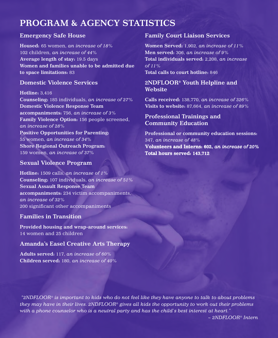# **PROGRAM & AGENCY STATISTICS**

# **Emergency Safe House**

**Housed:** 65 women, *an increase of 18%* 102 children, *an increase of 44%* **Average length of stay:** 19.5 days **Women and families unable to be admitted due to space limitations:** 83

### **Domestic Violence Services**

**Hotline:** 3,416 **Counseling:** 185 individuals, *an increase of 27%* **Domestic Violence Response Team accompaniments:** 756, *an increase of 3%* **Family Violence Option:** 156 people screened, *an increase of 28%* **Positive Opportunities for Parenting:**  55 women, *an increase of 34%* **Shore Regional Outreach Program:** 159 women, *an increase of 37%*

# **Sexual Violence Program**

**Hotline:** 1509 calls, *an increase of 1%* **Counseling:** 107 individuals, *an increase of 51%* **Sexual Assault Response Team accompaniments:** 234 victim accompaniments, *an increase of 32%* 200 significant other accompaniments

# **Families in Transition**

**Provided housing and wrap-around services:** 14 women and 25 children

# **Amanda's Easel Creative Arts Therapy**

**Adults served:** 117, *an increase of 60%* **Children served:** 180, *an increase of 40%*

# **Family Court Liaison Services**

**Women Served:** 1,902, *an increase of 11%* **Men served:** 306, *an increase of 9%* **Total individuals served:** 2,208, *an increase of 11%* **Total calls to court hotline:** 846

**2NDFLOOR® Youth Helpline and Website**

**Calls received:** 138,770, *an increase of 326%* **Visits to website:** 87,664, *an increase of 89%*

# **Professional Trainings and Community Education**

**Professional or community education sessions:** 347, *an increase of 48%*

**Volunteers and Interns: 602,** *an increase of 20%* **Total hours served: 143,712**

*"2NDFLOOR® is important to kids who do not feel like they have anyone to talk to about problems they may have in their lives. 2NDFLOOR® gives all kids the opportunity to work out their problems with a phone counselor who is a neutral party and has the child's best interest at heart."*

*~ 2NDFLOOR® Intern*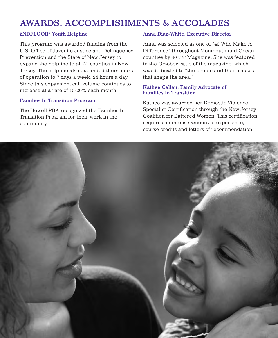# **AWARDS, ACCOMPLISHMENTS & ACCOLADES**

#### **2NDFLOOR® Youth Helpline**

This program was awarded funding from the U.S. Office of Juvenile Justice and Delinquency Prevention and the State of New Jersey to expand the helpline to all 21 counties in New Jersey. The helpline also expanded their hours of operation to 7 days a week, 24 hours a day. Since this expansion, call volume continues to increase at a rate of 15-20% each month.

#### **Families In Transition Program**

The Howell PBA recognized the Families In Transition Program for their work in the community.

#### **Anna Diaz-White, Executive Director**

Anna was selected as one of "40 Who Make A Difference" throughout Monmouth and Ocean counties by 40°74° Magazine. She was featured in the October issue of the magazine, which was dedicated to "the people and their causes that shape the area."

#### **Kathee Callan, Family Advocate of Families In Transition**

Kathee was awarded her Domestic Violence Specialist Certification through the New Jersey Coalition for Battered Women. This certification requires an intense amount of experience, course credits and letters of recommendation.

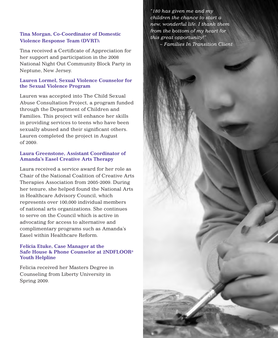#### **Tina Morgan, Co-Coordinator of Domestic Violence Response Team (DVRT):**

Tina received a Certificate of Appreciation for her support and participation in the 2008 National Night Out Community Block Party in Neptune, New Jersey.

#### **Lauren Lormel, Sexual Violence Counselor for the Sexual Violence Program**

Lauren was accepted into The Child Sexual Abuse Consultation Project, a program funded through the Department of Children and Families. This project will enhance her skills in providing services to teens who have been sexually abused and their significant others. Lauren completed the project in August of 2009.

#### **Laura Greenstone, Assistant Coordinator of Amanda's Easel Creative Arts Therapy**

Laura received a service award for her role as Chair of the National Coalition of Creative Arts Therapies Association from 2005-2009. During her tenure, she helped found the National Arts in Healthcare Advisory Council, which represents over 100,000 individual members of national arts organizations. She continues to serve on the Council which is active in advocating for access to alternative and complimentary programs such as Amanda's Easel within Healthcare Reform.

#### **Felicia Etuke, Case Manager at the Safe House & Phone Counselor at 2NDFLOOR® Youth Helpline**

Felicia received her Masters Degree in Counseling from Liberty University in Spring 2009.

*"180 has given me and my children the chance to start a new, wonderful life. I thank them from the bottom of my heart for this great opportunity!" ~ Families In Transition Client*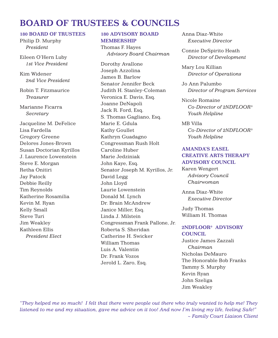# **BOARD OF TRUSTEES & COUNCILS**

#### **180 BOARD OF TRUSTEES**

Philip D. Murphy *President*

Eileen O'Hern Luby *1st Vice President*

Kim Widener *2nd Vice President*

Robin T. Fitzmaurice *Treasurer*

Marianne Ficarra *Secretary*

Jacqueline M. DeFelice Lisa Fardella Gregory Greene Delores Jones-Brown Susan Doctorian Kyrillos J. Laurence Lowenstein Steve E. Morgan Retha Onitiri Jay Patock Debbie Reilly Tim Reynolds Katherine Rosamilia Kevin M. Ryan Kelly Small Steve Turi Jim Weakley Kathleen Ellis *President Elect*

# **180 ADVISORY BOARD MEMBERSHIP**

Thomas F. Hayes *Advisory Board Chairman*

Dorothy Avallone Joseph Azzolina James B. Barlow Senator Jennifer Beck Judith H. Stanley-Coleman Veronica E. Davis, Esq. Joanne DeNapoli Jack R. Ford, Esq. S. Thomas Gagliano, Esq. Marie E. Gdula Kathy Goullet Kathryn Guadagno Congressman Rush Holt Caroline Huber Marie Jedziniak John Kaye, Esq. Senator Joseph M. Kyrillos, Jr. David Legg John Lloyd Laurie Lowenstein Donald M. Lynch Dr. Brain McAndrew Janice Miller, Esq. Linda J. Milstein Congressman Frank Pallone, Jr. Roberta S. Sheridan Catherine H. Swicker William Thomas Luis A. Valentin Dr. Frank Vozos Jerold L. Zaro, Esq.

Anna Diaz-White *Executive Director*

Connie DeSpirito Heath *Director of Development*

Mary Lou Killian *Director of Operations*

Jo Ann Palumbo *Director of Program Services*

Nicole Romaine *Co-Director of 2NDFLOOR® Youth Helpline*

MB Villa *Co-Director of 2NDFLOOR® Youth Helpline*

# **AMANDA'S EASEL CREATIVE ARTS THERAPY ADVISORY COUNCIL**

Karen Wengert *Advisory Council Chairwoman*

Anna Diaz-White *Executive Director*

Judy Thomas William H. Thomas

### **2NDFLOOR® ADVISORY COUNCIL**

Justice James Zazzali *Chairman* Nicholas DeMauro The Honorable Bob Franks Tammy S. Murphy Kevin Ryan John Szeliga Jim Weakley

*"They helped me so much! I felt that there were people out there who truly wanted to help me! They listened to me and my situation, gave me advice on it too! And now I'm living my life, feeling Safe!" ~ Family Court Liaison Client*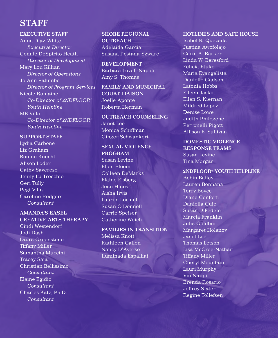# **STAFF**

#### **EXECUTIVE STAFF**

Anna Diaz-White *Executive Director* Connie DeSpirito Heath *Director of Development* Mary Lou Killian *Director of Operations* Jo Ann Palumbo *Director of Program Services* Nicole Romaine *Co-Director of 2NDFLOOR® Youth Helpline* MB Villa *Co-Director of 2NDFLOOR® Youth Helpline*

#### **SUPPORT STAFF**

Lydia Carbone Liz Graham Bonnie Knecht Alison Loder Cathy Saverese Jenny Lu Trocchio Geri Tully Pegi Villa Caroline Rodgers *Consultant*

### **AMANDA'S EASEL CREATIVE ARTS THERAPY**

Cindi Westendorf Jodi Dash Laura Greenstone Tiffany Miller Samantha Muccini Tracey Saia Christian Bellissimo *Consultant* Elaine Egidio *Consultant* Charles Katz, Ph.D. *Consultant*

**SHORE REGIONAL OUTREACH**  Adelaida Garcia Susana Pestana-Szwarc

**DEVELOPMENT** Barbara Lovell-Napoli Amy S. Thomas

**FAMILY AND MUNICIPAL COURT LIAISON** Joelle Aponte Roberta Herman

**OUTREACH COUNSELING** Janet Lee Monica Schiffman Ginger Schwankert

**SEXUAL VIOLENCE PROGRAM** Susan Levine Ellen Bloom Colleen DeMarks Elaine Eisberg Jean Hines Aisha Irvis Lauren Lormel Susan O'Donnell Carrie Speiser Catherine Weich

**FAMILIES IN TRANSITION** Melissa Knott Kathleen Callen Nancy D'Averso Iluminada Espalliat

#### **HOTLINES AND SAFE HOUSE**

Isabel R. Quezada Justina Awofolajo Carol A. Barker Linda W. Beresford Felicia Etuke Maria Evangelista Danielle Gadson Latonia Hobbs Eileen Jaskot Ellen S. Kiernan Mildred Lopez Denise Lowe Judith Philogene Petronelli Pigott Allison E. Sullivan

## **DOMESTIC VIOLENCE RESPONSE TEAMS** Susan Levine Tina Morgan

#### **2NDFLOOR® YOUTH HELPLINE**

Robin Bailey Lauren Bonnana Terry Boyce Diane Conforti Daniella Cuje Susan DiFedele Marcia Franklin Julia Goldburt Margaret Holanov Janet Lee Thomas Letson Lisa McCree-Nathari Tiffany Miller Cheryl Mountain Lauri Murphy Vin Nappi Brenda Rosario Jeffrey Slater Regine Tollefsen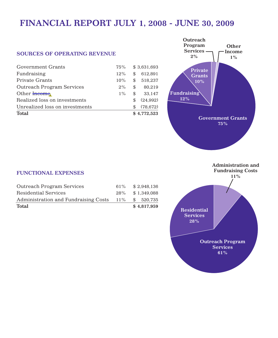# **FINANCIAL REPORT JULY 1, 2008 - JUNE 30, 2009**

#### **SOURCES OF OPERATING REVENUE**

| <b>Total</b>                     |        |     | \$4.772.523 |
|----------------------------------|--------|-----|-------------|
| Unrealized loss on investments   |        | \$. | (78.672)    |
| Realized loss on investments     |        | \$. | (24.992)    |
| Other Income                     | $1\%$  | \$  | 33.147      |
| <b>Outreach Program Services</b> | $2\%$  | \$  | 80.219      |
| Private Grants                   | 10%    | \$  | 518,237     |
| Fundraising                      | $12\%$ | \$  | 612.891     |
| Government Grants                | 75%    |     | \$3,631,693 |
|                                  |        |     |             |



### **FUNCTIONAL EXPENSES**

| Total                                    |        | \$4.817.959 |
|------------------------------------------|--------|-------------|
| Administration and Fundraising Costs 11% |        | \$520,735   |
| Residential Services                     | $28\%$ | \$1,349,088 |
| Outreach Program Services                | $61\%$ | \$2.948.136 |

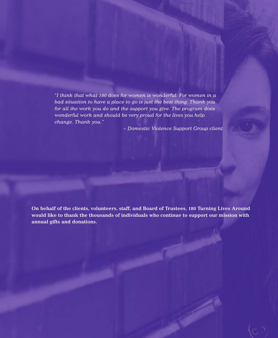*"I think that what 180 does for women is wonderful. For women in a bad situation to have a place to go is just the best thing. Thank you for all the work you do and the support you give. The program does wonderful work and should be very proud for the lives you help change. Thank you."* 

*~ Domestic Violence Support Group client*

**On behalf of the clients, volunteers, staff, and Board of Trustees, 180 Turning Lives Around would like to thank the thousands of individuals who continue to support our mission with annual gifts and donations.**